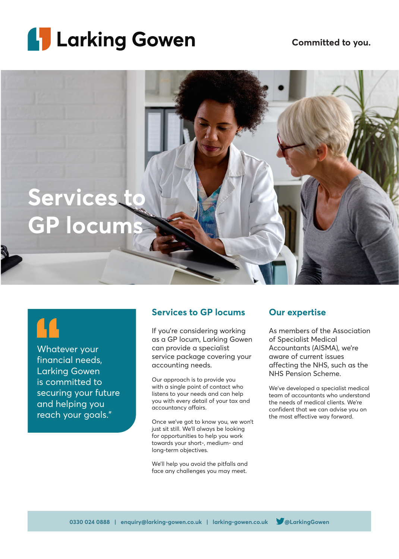



## $\mathbf{H}$

Whatever your financial needs, Larking Gowen is committed to securing your future and helping you reach your goals."

## **Services to GP locums**

If you're considering working as a GP locum, Larking Gowen can provide a specialist service package covering your accounting needs.

Our approach is to provide you with a single point of contact who listens to your needs and can help you with every detail of your tax and accountancy affairs.

Once we've got to know you, we won't just sit still. We'll always be looking for opportunities to help you work towards your short-, medium- and long-term objectives.

We'll help you avoid the pitfalls and face any challenges you may meet.

## **Our expertise**

As members of the Association of Specialist Medical Accountants (AISMA), we're aware of current issues affecting the NHS, such as the NHS Pension Scheme.

We've developed a specialist medical team of accountants who understand the needs of medical clients. We're confident that we can advise you on the most effective way forward.